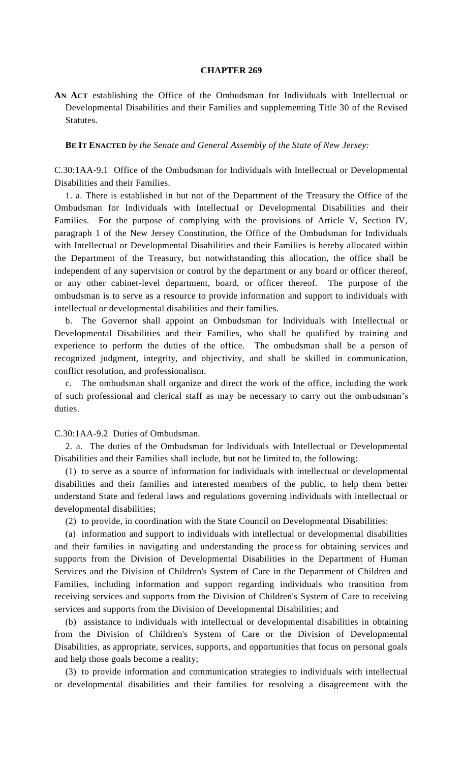## **CHAPTER 269**

**AN ACT** establishing the Office of the Ombudsman for Individuals with Intellectual or Developmental Disabilities and their Families and supplementing Title 30 of the Revised Statutes.

**BE IT ENACTED** *by the Senate and General Assembly of the State of New Jersey:*

C.30:1AA-9.1 Office of the Ombudsman for Individuals with Intellectual or Developmental Disabilities and their Families.

1. a. There is established in but not of the Department of the Treasury the Office of the Ombudsman for Individuals with Intellectual or Developmental Disabilities and their Families. For the purpose of complying with the provisions of Article V, Section IV, paragraph 1 of the New Jersey Constitution, the Office of the Ombudsman for Individuals with Intellectual or Developmental Disabilities and their Families is hereby allocated within the Department of the Treasury, but notwithstanding this allocation, the office shall be independent of any supervision or control by the department or any board or officer thereof, or any other cabinet-level department, board, or officer thereof. The purpose of the ombudsman is to serve as a resource to provide information and support to individuals with intellectual or developmental disabilities and their families.

b. The Governor shall appoint an Ombudsman for Individuals with Intellectual or Developmental Disabilities and their Families, who shall be qualified by training and experience to perform the duties of the office. The ombudsman shall be a person of recognized judgment, integrity, and objectivity, and shall be skilled in communication, conflict resolution, and professionalism.

The ombudsman shall organize and direct the work of the office, including the work of such professional and clerical staff as may be necessary to carry out the ombudsman's duties.

C.30:1AA-9.2 Duties of Ombudsman.

2. a. The duties of the Ombudsman for Individuals with Intellectual or Developmental Disabilities and their Families shall include, but not be limited to, the following:

(1) to serve as a source of information for individuals with intellectual or developmental disabilities and their families and interested members of the public, to help them better understand State and federal laws and regulations governing individuals with intellectual or developmental disabilities;

(2) to provide, in coordination with the State Council on Developmental Disabilities:

(a) information and support to individuals with intellectual or developmental disabilities and their families in navigating and understanding the process for obtaining services and supports from the Division of Developmental Disabilities in the Department of Human Services and the Division of Children's System of Care in the Department of Children and Families, including information and support regarding individuals who transition from receiving services and supports from the Division of Children's System of Care to receiving services and supports from the Division of Developmental Disabilities; and

(b) assistance to individuals with intellectual or developmental disabilities in obtaining from the Division of Children's System of Care or the Division of Developmental Disabilities, as appropriate, services, supports, and opportunities that focus on personal goals and help those goals become a reality;

(3) to provide information and communication strategies to individuals with intellectual or developmental disabilities and their families for resolving a disagreement with the